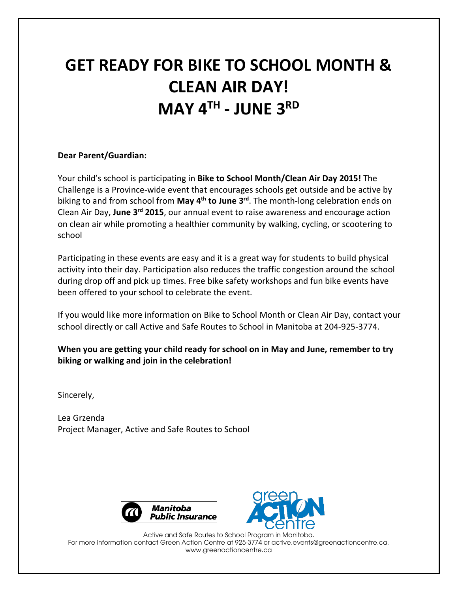## **GET READY FOR BIKE TO SCHOOL MONTH & CLEAN AIR DAY! MAY 4TH - JUNE 3RD**

#### **Dear Parent/Guardian:**

Your child's school is participating in **Bike to School Month/Clean Air Day 2015!** The Challenge is a Province-wide event that encourages schools get outside and be active by biking to and from school from **May 4th to June 3rd**. The month-long celebration ends on Clean Air Day, **June 3rd 2015**, our annual event to raise awareness and encourage action on clean air while promoting a healthier community by walking, cycling, or scootering to school

Participating in these events are easy and it is a great way for students to build physical activity into their day. Participation also reduces the traffic congestion around the school during drop off and pick up times. Free bike safety workshops and fun bike events have been offered to your school to celebrate the event.

If you would like more information on Bike to School Month or Clean Air Day, contact your school directly or call Active and Safe Routes to School in Manitoba at 204-925-3774.

### **When you are getting your child ready for school on in May and June, remember to try biking or walking and join in the celebration!**

Sincerely,

Lea Grzenda Project Manager, Active and Safe Routes to School





Active and Safe Routes to School Program in Manitoba. For more information contact Green Action Centre at 925-3774 or active.events@greenactioncentre.ca. www.greenactioncentre.ca